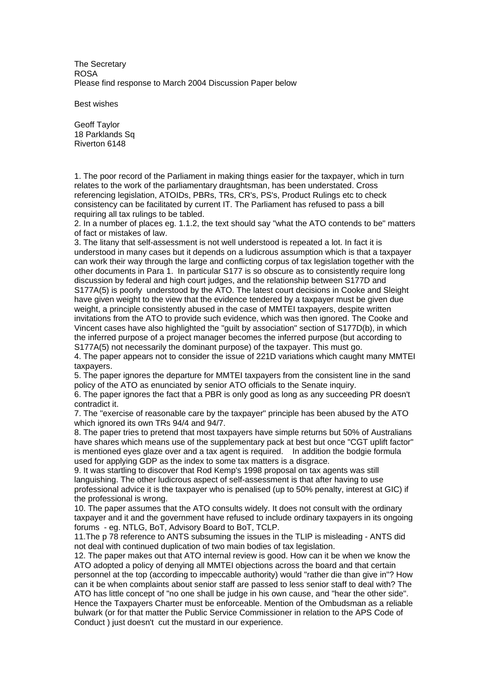The Secretary ROSA Please find response to March 2004 Discussion Paper below

Best wishes

Geoff Taylor 18 Parklands Sq Riverton 6148

1. The poor record of the Parliament in making things easier for the taxpayer, which in turn relates to the work of the parliamentary draughtsman, has been understated. Cross referencing legislation, ATOIDs, PBRs, TRs, CR's, PS's, Product Rulings etc to check consistency can be facilitated by current IT. The Parliament has refused to pass a bill requiring all tax rulings to be tabled.

2. In a number of places eg. 1.1.2, the text should say "what the ATO contends to be" matters of fact or mistakes of law.

3. The litany that self-assessment is not well understood is repeated a lot. In fact it is understood in many cases but it depends on a ludicrous assumption which is that a taxpayer can work their way through the large and conflicting corpus of tax legislation together with the other documents in Para 1. In particular S177 is so obscure as to consistently require long discussion by federal and high court judges, and the relationship between S177D and S177A(5) is poorly understood by the ATO. The latest court decisions in Cooke and Sleight have given weight to the view that the evidence tendered by a taxpayer must be given due weight, a principle consistently abused in the case of MMTEI taxpayers, despite written invitations from the ATO to provide such evidence, which was then ignored. The Cooke and Vincent cases have also highlighted the "guilt by association" section of S177D(b), in which the inferred purpose of a project manager becomes the inferred purpose (but according to S177A(5) not necessarily the dominant purpose) of the taxpayer. This must go.

4. The paper appears not to consider the issue of 221D variations which caught many MMTEI taxpayers.

5. The paper ignores the departure for MMTEI taxpayers from the consistent line in the sand policy of the ATO as enunciated by senior ATO officials to the Senate inquiry.

6. The paper ignores the fact that a PBR is only good as long as any succeeding PR doesn't contradict it.

7. The "exercise of reasonable care by the taxpayer" principle has been abused by the ATO which ignored its own TRs 94/4 and 94/7.

8. The paper tries to pretend that most taxpayers have simple returns but 50% of Australians have shares which means use of the supplementary pack at best but once "CGT uplift factor" is mentioned eyes glaze over and a tax agent is required. In addition the bodgie formula used for applying GDP as the index to some tax matters is a disgrace.

9. It was startling to discover that Rod Kemp's 1998 proposal on tax agents was still languishing. The other ludicrous aspect of self-assessment is that after having to use professional advice it is the taxpayer who is penalised (up to 50% penalty, interest at GIC) if the professional is wrong.

10. The paper assumes that the ATO consults widely. It does not consult with the ordinary taxpayer and it and the government have refused to include ordinary taxpayers in its ongoing forums - eg. NTLG, BoT, Advisory Board to BoT, TCLP.

11.The p 78 reference to ANTS subsuming the issues in the TLIP is misleading - ANTS did not deal with continued duplication of two main bodies of tax legislation.

12. The paper makes out that ATO internal review is good. How can it be when we know the ATO adopted a policy of denying all MMTEI objections across the board and that certain personnel at the top (according to impeccable authority) would "rather die than give in"? How can it be when complaints about senior staff are passed to less senior staff to deal with? The ATO has little concept of "no one shall be judge in his own cause, and "hear the other side". Hence the Taxpayers Charter must be enforceable. Mention of the Ombudsman as a reliable bulwark (or for that matter the Public Service Commissioner in relation to the APS Code of Conduct ) just doesn't cut the mustard in our experience.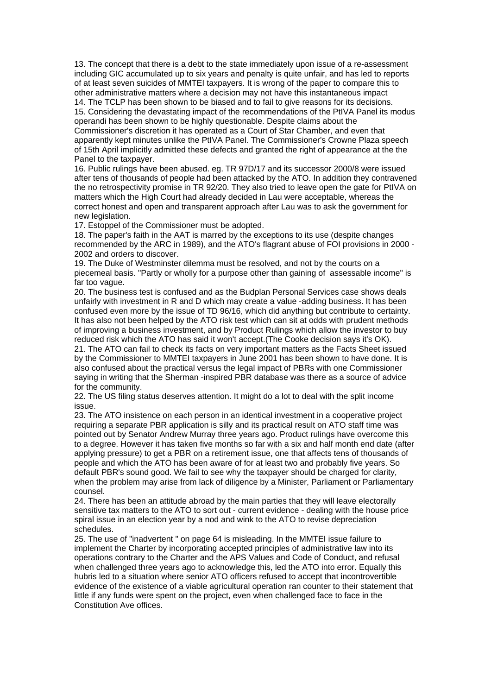13. The concept that there is a debt to the state immediately upon issue of a re-assessment including GIC accumulated up to six years and penalty is quite unfair, and has led to reports of at least seven suicides of MMTEI taxpayers. It is wrong of the paper to compare this to other administrative matters where a decision may not have this instantaneous impact

14. The TCLP has been shown to be biased and to fail to give reasons for its decisions. 15. Considering the devastating impact of the recommendations of the PtIVA Panel its modus operandi has been shown to be highly questionable. Despite claims about the Commissioner's discretion it has operated as a Court of Star Chamber, and even that apparently kept minutes unlike the PtIVA Panel. The Commissioner's Crowne Plaza speech of 15th April implicitly admitted these defects and granted the right of appearance at the the Panel to the taxpayer.

16. Public rulings have been abused. eg. TR 97D/17 and its successor 2000/8 were issued after tens of thousands of people had been attacked by the ATO. In addition they contravened the no retrospectivity promise in TR 92/20. They also tried to leave open the gate for PtIVA on matters which the High Court had already decided in Lau were acceptable, whereas the correct honest and open and transparent approach after Lau was to ask the government for new legislation.

17. Estoppel of the Commissioner must be adopted.

18. The paper's faith in the AAT is marred by the exceptions to its use (despite changes recommended by the ARC in 1989), and the ATO's flagrant abuse of FOI provisions in 2000 - 2002 and orders to discover.

19. The Duke of Westminster dilemma must be resolved, and not by the courts on a piecemeal basis. "Partly or wholly for a purpose other than gaining of assessable income" is far too vague.

20. The business test is confused and as the Budplan Personal Services case shows deals unfairly with investment in R and D which may create a value -adding business. It has been confused even more by the issue of TD 96/16, which did anything but contribute to certainty. It has also not been helped by the ATO risk test which can sit at odds with prudent methods of improving a business investment, and by Product Rulings which allow the investor to buy reduced risk which the ATO has said it won't accept.(The Cooke decision says it's OK).

21. The ATO can fail to check its facts on very important matters as the Facts Sheet issued by the Commissioner to MMTEI taxpayers in June 2001 has been shown to have done. It is also confused about the practical versus the legal impact of PBRs with one Commissioner saying in writing that the Sherman -inspired PBR database was there as a source of advice for the community.

22. The US filing status deserves attention. It might do a lot to deal with the split income issue.

23. The ATO insistence on each person in an identical investment in a cooperative project requiring a separate PBR application is silly and its practical result on ATO staff time was pointed out by Senator Andrew Murray three years ago. Product rulings have overcome this to a degree. However it has taken five months so far with a six and half month end date (after applying pressure) to get a PBR on a retirement issue, one that affects tens of thousands of people and which the ATO has been aware of for at least two and probably five years. So default PBR's sound good. We fail to see why the taxpayer should be charged for clarity, when the problem may arise from lack of diligence by a Minister, Parliament or Parliamentary counsel.

24. There has been an attitude abroad by the main parties that they will leave electorally sensitive tax matters to the ATO to sort out - current evidence - dealing with the house price spiral issue in an election year by a nod and wink to the ATO to revise depreciation schedules.

25. The use of "inadvertent " on page 64 is misleading. In the MMTEI issue failure to implement the Charter by incorporating accepted principles of administrative law into its operations contrary to the Charter and the APS Values and Code of Conduct, and refusal when challenged three years ago to acknowledge this, led the ATO into error. Equally this hubris led to a situation where senior ATO officers refused to accept that incontrovertible evidence of the existence of a viable agricultural operation ran counter to their statement that little if any funds were spent on the project, even when challenged face to face in the Constitution Ave offices.